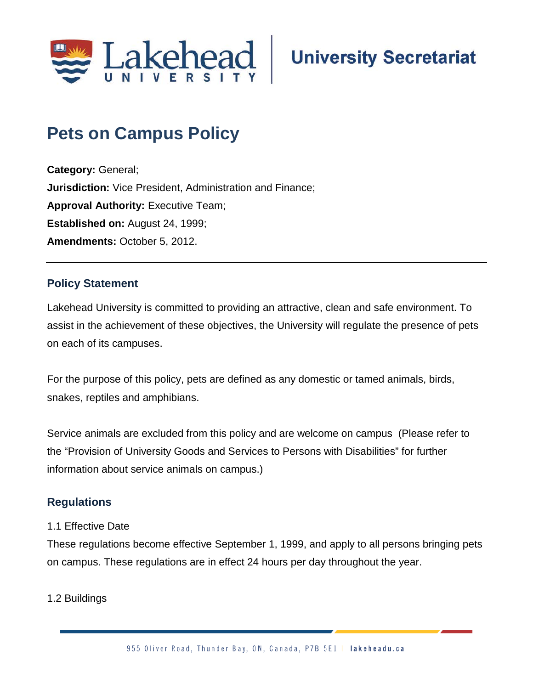

# **Pets on Campus Policy**

**Category:** General; **Jurisdiction:** Vice President, Administration and Finance; **Approval Authority: Executive Team; Established on:** August 24, 1999; **Amendments:** October 5, 2012.

# **Policy Statement**

Lakehead University is committed to providing an attractive, clean and safe environment. To assist in the achievement of these objectives, the University will regulate the presence of pets on each of its campuses.

For the purpose of this policy, pets are defined as any domestic or tamed animals, birds, snakes, reptiles and amphibians.

Service animals are excluded from this policy and are welcome on campus (Please refer to the "Provision of University Goods and Services to Persons with Disabilities" for further information about service animals on campus.)

# **Regulations**

#### 1.1 Effective Date

These regulations become effective September 1, 1999, and apply to all persons bringing pets on campus. These regulations are in effect 24 hours per day throughout the year.

## 1.2 Buildings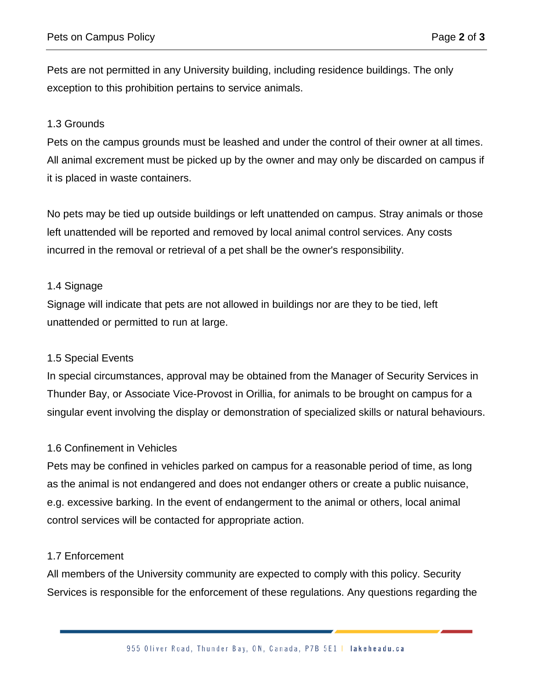Pets are not permitted in any University building, including residence buildings. The only exception to this prohibition pertains to service animals.

### 1.3 Grounds

Pets on the campus grounds must be leashed and under the control of their owner at all times. All animal excrement must be picked up by the owner and may only be discarded on campus if it is placed in waste containers.

No pets may be tied up outside buildings or left unattended on campus. Stray animals or those left unattended will be reported and removed by local animal control services. Any costs incurred in the removal or retrieval of a pet shall be the owner's responsibility.

### 1.4 Signage

Signage will indicate that pets are not allowed in buildings nor are they to be tied, left unattended or permitted to run at large.

#### 1.5 Special Events

In special circumstances, approval may be obtained from the Manager of Security Services in Thunder Bay, or Associate Vice-Provost in Orillia, for animals to be brought on campus for a singular event involving the display or demonstration of specialized skills or natural behaviours.

## 1.6 Confinement in Vehicles

Pets may be confined in vehicles parked on campus for a reasonable period of time, as long as the animal is not endangered and does not endanger others or create a public nuisance, e.g. excessive barking. In the event of endangerment to the animal or others, local animal control services will be contacted for appropriate action.

#### 1.7 Enforcement

All members of the University community are expected to comply with this policy. Security Services is responsible for the enforcement of these regulations. Any questions regarding the